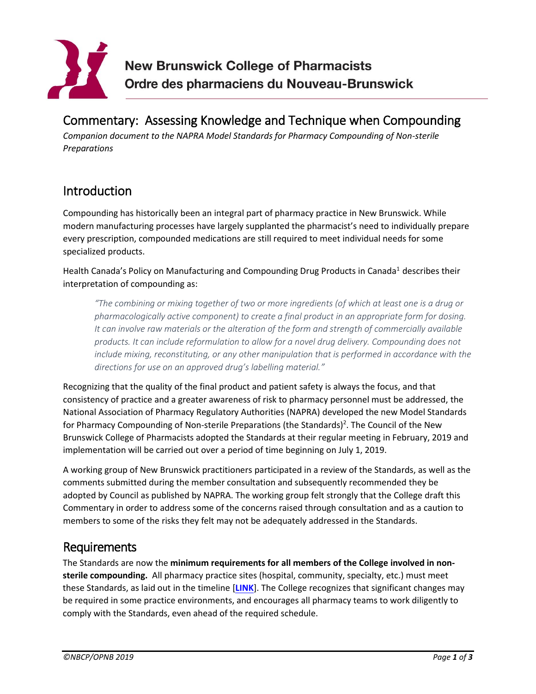

# Commentary: Assessing Knowledge and Technique when Compounding

*Companion document to the NAPRA Model Standards for Pharmacy Compounding of Non-sterile Preparations* 

## Introduction

Compounding has historically been an integral part of pharmacy practice in New Brunswick. While modern manufacturing processes have largely supplanted the pharmacist's need to individually prepare every prescription, compounded medications are still required to meet individual needs for some specialized products.

Health Canada's Policy on Manufacturing and Compounding Drug Products in Canada<sup>1</sup> describes their interpretation of compounding as:

*"The combining or mixing together of two or more ingredients (of which at least one is a drug or pharmacologically active component) to create a final product in an appropriate form for dosing. It can involve raw materials or the alteration of the form and strength of commercially available products. It can include reformulation to allow for a novel drug delivery. Compounding does not include mixing, reconstituting, or any other manipulation that is performed in accordance with the directions for use on an approved drug's labelling material."*

Recognizing that the quality of the final product and patient safety is always the focus, and that consistency of practice and a greater awareness of risk to pharmacy personnel must be addressed, the National Association of Pharmacy Regulatory Authorities (NAPRA) developed the new Model Standards for Pharmacy Compounding of Non-sterile Preparations (the Standards)<sup>2</sup>. The Council of the New Brunswick College of Pharmacists adopted the Standards at their regular meeting in February, 2019 and implementation will be carried out over a period of time beginning on July 1, 2019.

A working group of New Brunswick practitioners participated in a review of the Standards, as well as the comments submitted during the member consultation and subsequently recommended they be adopted by Council as published by NAPRA. The working group felt strongly that the College draft this Commentary in order to address some of the concerns raised through consultation and as a caution to members to some of the risks they felt may not be adequately addressed in the Standards.

### Requirements

The Standards are now the **minimum requirements for all members of the College involved in nonsterile compounding.** All pharmacy practice sites (hospital, community, specialty, etc.) must meet these Standards, as laid out in the ti[meline](https://nbcp.in1touch.org/document/4729/ImplementationTimelineInfographicNon-sterileMay2019EN.pdf) [**LINK**]. The College recognizes that significant changes may be required in some practice environments, and encourages all pharmacy teams to work diligently to comply with the Standards, even ahead of the required schedule.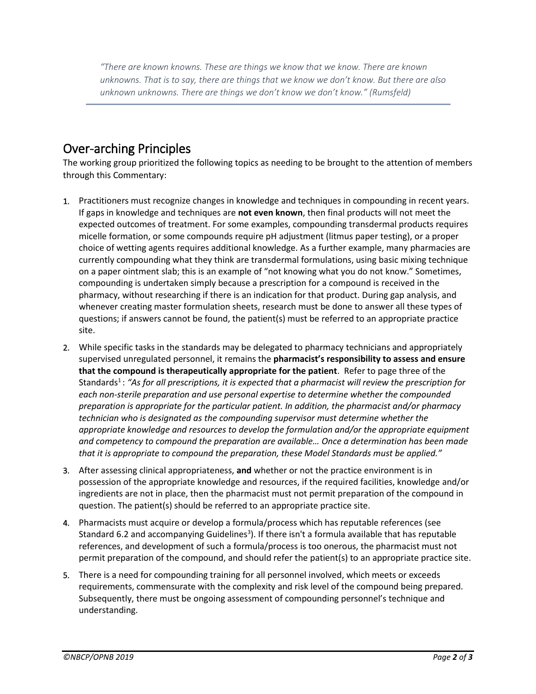*"There are known knowns. These are things we know that we know. There are known unknowns. That is to say, there are things that we know we don't know. But there are also unknown unknowns. There are things we don't know we don't know." (Rumsfeld)*

# Over-arching Principles

The working group prioritized the following topics as needing to be brought to the attention of members through this Commentary:

- 1. Practitioners must recognize changes in knowledge and techniques in compounding in recent years. If gaps in knowledge and techniques are **not even known**, then final products will not meet the expected outcomes of treatment. For some examples, compounding transdermal products requires micelle formation, or some compounds require pH adjustment (litmus paper testing), or a proper choice of wetting agents requires additional knowledge. As a further example, many pharmacies are currently compounding what they think are transdermal formulations, using basic mixing technique on a paper ointment slab; this is an example of "not knowing what you do not know." Sometimes, compounding is undertaken simply because a prescription for a compound is received in the pharmacy, without researching if there is an indication for that product. During gap analysis, and whenever creating master formulation sheets, research must be done to answer all these types of questions; if answers cannot be found, the patient(s) must be referred to an appropriate practice site.
- 2. While specific tasks in the standards may be delegated to pharmacy technicians and appropriately supervised unregulated personnel, it remains the **pharmacist's responsibility to assess and ensure that the compound is therapeutically appropriate for the patient**. Refer to page three of the Standards<sup>1</sup>: *"As for all prescriptions, it is expected that a pharmacist will review the prescription for each non-sterile preparation and use personal expertise to determine whether the compounded preparation is appropriate for the particular patient. In addition, the pharmacist and/or pharmacy technician who is designated as the compounding supervisor must determine whether the appropriate knowledge and resources to develop the formulation and/or the appropriate equipment and competency to compound the preparation are available… Once a determination has been made that it is appropriate to compound the preparation, these Model Standards must be applied."*
- 3. After assessing clinical appropriateness, **and** whether or not the practice environment is in possession of the appropriate knowledge and resources, if the required facilities, knowledge and/or ingredients are not in place, then the pharmacist must not permit preparation of the compound in question. The patient(s) should be referred to an appropriate practice site.
- 4. Pharmacists must acquire or develop a formula/process which has reputable references (see Standard 6.2 and accompanying Guidelines<sup>3</sup>). If there isn't a formula available that has reputable references, and development of such a formula/process is too onerous, the pharmacist must not permit preparation of the compound, and should refer the patient(s) to an appropriate practice site.
- 5. There is a need for compounding training for all personnel involved, which meets or exceeds requirements, commensurate with the complexity and risk level of the compound being prepared. Subsequently, there must be ongoing assessment of compounding personnel's technique and understanding.